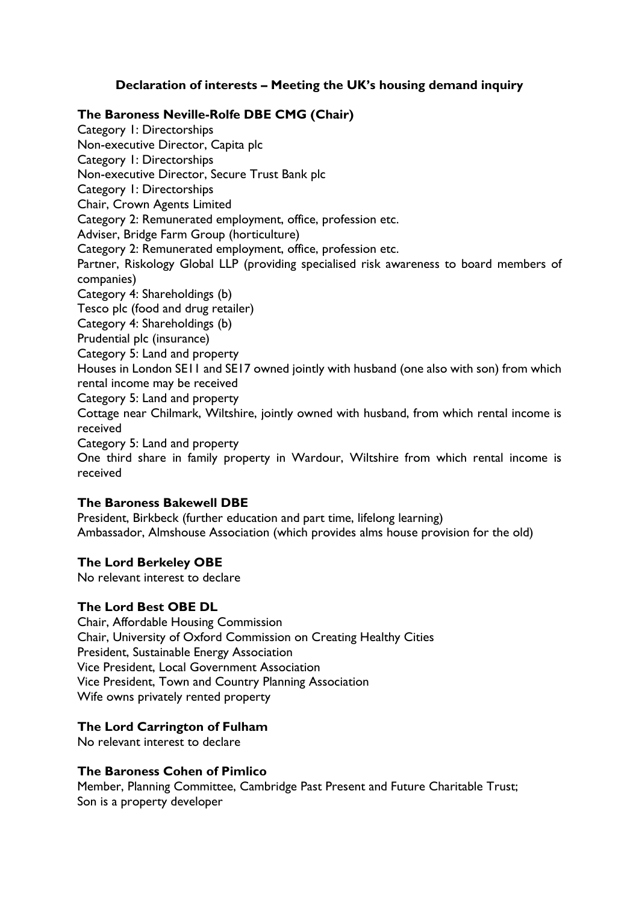# **Declaration of interests – Meeting the UK's housing demand inquiry**

#### **The Baroness Neville-Rolfe DBE CMG (Chair)**

Category 1: Directorships Non-executive Director, Capita plc Category 1: Directorships Non-executive Director, Secure Trust Bank plc Category 1: Directorships Chair, Crown Agents Limited Category 2: Remunerated employment, office, profession etc. Adviser, Bridge Farm Group (horticulture) Category 2: Remunerated employment, office, profession etc. Partner, Riskology Global LLP (providing specialised risk awareness to board members of companies) Category 4: Shareholdings (b) Tesco plc (food and drug retailer) Category 4: Shareholdings (b) Prudential plc (insurance) Category 5: Land and property Houses in London SE11 and SE17 owned jointly with husband (one also with son) from which rental income may be received Category 5: Land and property Cottage near Chilmark, Wiltshire, jointly owned with husband, from which rental income is received Category 5: Land and property One third share in family property in Wardour, Wiltshire from which rental income is received

#### **The Baroness Bakewell DBE**

President, Birkbeck (further education and part time, lifelong learning) Ambassador, Almshouse Association (which provides alms house provision for the old)

#### **The Lord Berkeley OBE**

No relevant interest to declare

#### **The Lord Best OBE DL**

Chair, Affordable Housing Commission Chair, University of Oxford Commission on Creating Healthy Cities President, Sustainable Energy Association Vice President, Local Government Association Vice President, Town and Country Planning Association Wife owns privately rented property

#### **The Lord Carrington of Fulham**

No relevant interest to declare

#### **The Baroness Cohen of Pimlico**

Member, Planning Committee, Cambridge Past Present and Future Charitable Trust; Son is a property developer